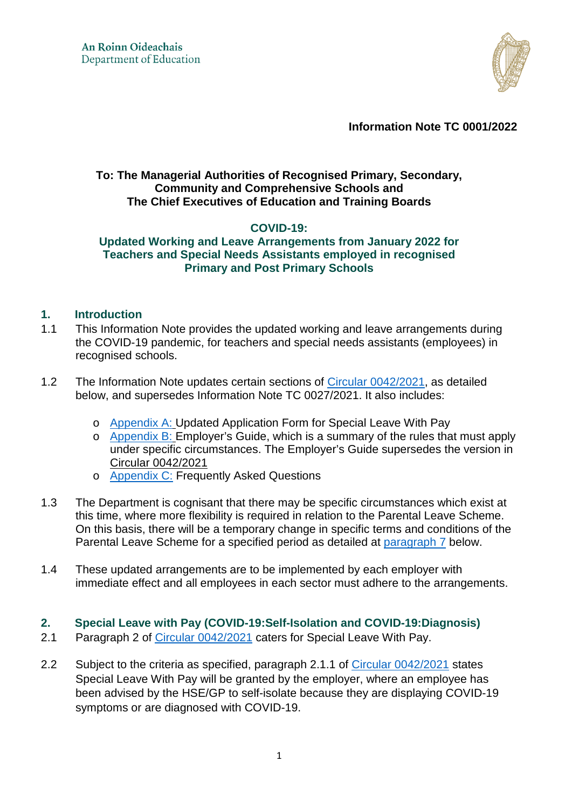

**Information Note TC 0001/2022** 

### **To: The Managerial Authorities of Recognised Primary, Secondary, Community and Comprehensive Schools and The Chief Executives of Education and Training Boards**

## **COVID-19:**

### **Updated Working and Leave Arrangements from January 2022 for Teachers and Special Needs Assistants employed in recognised Primary and Post Primary Schools**

### **1. Introduction**

- 1.1 This Information Note provides the updated working and leave arrangements during the COVID-19 pandemic, for teachers and special needs assistants (employees) in recognised schools.
- 1.2 The Information Note updates certain sections of [Circular 0042/2021,](https://www.gov.ie/en/circular/b4832-coronavirus-covid-19-arrangements-for-teachers-and-special-needs-assistants-employed-in-recognised-primary-and-post-primary-schools/) as detailed below, and supersedes Information Note TC 0027/2021. It also includes:
	- o [Appendix A:](#page-6-0) Updated Application Form for Special Leave With Pay
	- o [Appendix B:](#page-8-0) Employer's Guide, which is a summary of the rules that must apply under specific circumstances. The Employer's Guide supersedes the version in [Circular 0042/2021](https://www.gov.ie/en/circular/b4832-coronavirus-covid-19-arrangements-for-teachers-and-special-needs-assistants-employed-in-recognised-primary-and-post-primary-schools/)
	- o [Appendix C:](#page-13-0) Frequently Asked Questions
- 1.3 The Department is cognisant that there may be specific circumstances which exist at this time, where more flexibility is required in relation to the Parental Leave Scheme. On this basis, there will be a temporary change in specific terms and conditions of the Parental Leave Scheme for a specified period as detailed at [paragraph 7](#page-4-0) below.
- 1.4 These updated arrangements are to be implemented by each employer with immediate effect and all employees in each sector must adhere to the arrangements.

## **2. Special Leave with Pay (COVID-19:Self-Isolation and COVID-19:Diagnosis)**

- 2.1 Paragraph 2 of [Circular 0042/2021](https://www.gov.ie/en/circular/b4832-coronavirus-covid-19-arrangements-for-teachers-and-special-needs-assistants-employed-in-recognised-primary-and-post-primary-schools/) caters for Special Leave With Pay.
- 2.2 Subject to the criteria as specified, paragraph 2.1.1 of [Circular 0042/2021](https://www.gov.ie/en/circular/b4832-coronavirus-covid-19-arrangements-for-teachers-and-special-needs-assistants-employed-in-recognised-primary-and-post-primary-schools/) states Special Leave With Pay will be granted by the employer, where an employee has been advised by the HSE/GP to self-isolate because they are displaying COVID-19 symptoms or are diagnosed with COVID-19.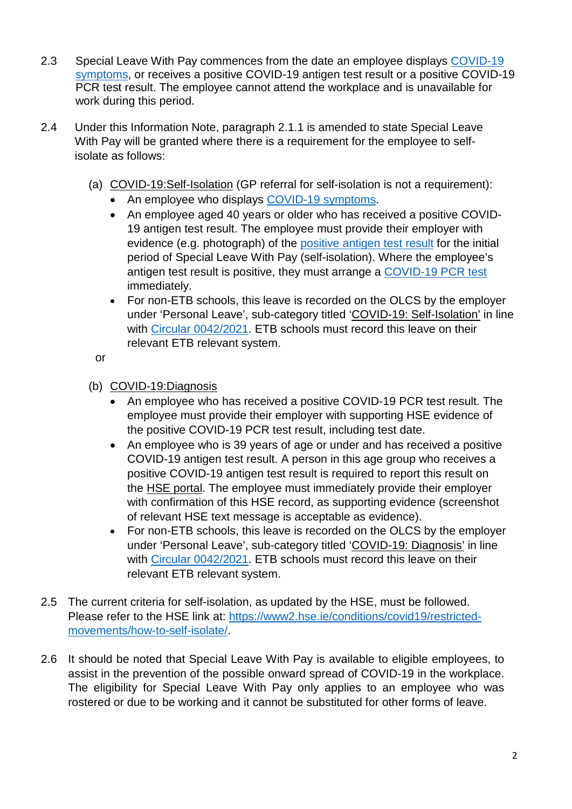- 2.3 Special Leave With Pay commences from the date an employee displays [COVID-19](https://www2.hse.ie/conditions/covid19/symptoms/overview/)  [symptoms,](https://www2.hse.ie/conditions/covid19/symptoms/overview/) or receives a positive COVID-19 antigen test result or a positive COVID-19 PCR test result. The employee cannot attend the workplace and is unavailable for work during this period.
- 2.4 Under this Information Note, paragraph 2.1.1 is amended to state Special Leave With Pay will be granted where there is a requirement for the employee to selfisolate as follows:
	- (a) COVID-19:Self-Isolation (GP referral for self-isolation is not a requirement):
		- An employee who displays [COVID-19 symptoms.](https://www2.hse.ie/conditions/covid19/symptoms/overview/)
		- An employee aged 40 years or older who has received a positive COVID-19 antigen test result. The employee must provide their employer with evidence (e.g. photograph) of the [positive antigen test result](https://www2.hse.ie/conditions/covid19/testing/using-antigen-tests/) for the initial period of Special Leave With Pay (self-isolation). Where the employee's antigen test result is positive, they must arrange a [COVID-19 PCR test](https://www2.hse.ie/conditions/covid19/testing/get-tested/) immediately.
		- For non-ETB schools, this leave is recorded on the OLCS by the employer under 'Personal Leave', sub-category titled 'COVID-19: Self-Isolation' in line with [Circular 0042/2021.](https://www.gov.ie/en/circular/b4832-coronavirus-covid-19-arrangements-for-teachers-and-special-needs-assistants-employed-in-recognised-primary-and-post-primary-schools/) ETB schools must record this leave on their relevant ETB relevant system.

or

- (b) COVID-19:Diagnosis
	- An employee who has received a positive COVID-19 PCR test result. The employee must provide their employer with supporting HSE evidence of the positive COVID-19 PCR test result, including test date.
	- An employee who is 39 years of age or under and has received a positive COVID-19 antigen test result. A person in this age group who receives a positive COVID-19 antigen test result is required to report this result on the [HSE portal.](https://antigentesting.hse.ie/) The employee must immediately provide their employer with confirmation of this HSE record, as supporting evidence (screenshot of relevant HSE text message is acceptable as evidence).
	- For non-ETB schools, this leave is recorded on the OLCS by the employer under 'Personal Leave', sub-category titled 'COVID-19: Diagnosis' in line with [Circular 0042/2021.](https://www.gov.ie/en/circular/b4832-coronavirus-covid-19-arrangements-for-teachers-and-special-needs-assistants-employed-in-recognised-primary-and-post-primary-schools/) ETB schools must record this leave on their relevant ETB relevant system.
- 2.5 The current criteria for self-isolation, as updated by the HSE, must be followed. Please refer to the HSE link at: [https://www2.hse.ie/conditions/covid19/restricted](https://www2.hse.ie/conditions/covid19/restricted-movements/how-to-self-isolate/)[movements/how-to-self-isolate/.](https://www2.hse.ie/conditions/covid19/restricted-movements/how-to-self-isolate/)
- 2.6 It should be noted that Special Leave With Pay is available to eligible employees, to assist in the prevention of the possible onward spread of COVID-19 in the workplace. The eligibility for Special Leave With Pay only applies to an employee who was rostered or due to be working and it cannot be substituted for other forms of leave.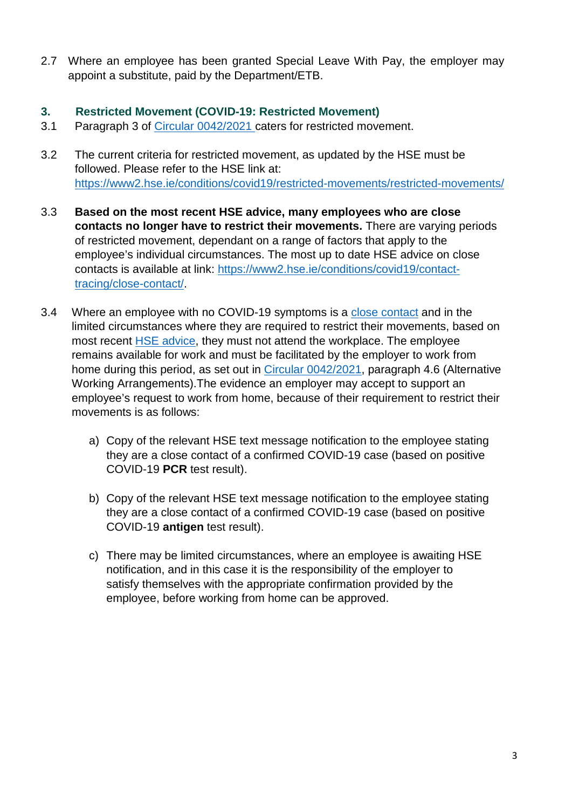2.7 Where an employee has been granted Special Leave With Pay, the employer may appoint a substitute, paid by the Department/ETB.

## **3. Restricted Movement (COVID-19: Restricted Movement)**

- 3.1 Paragraph 3 of [Circular 0042/2021](https://www.gov.ie/en/circular/b4832-coronavirus-covid-19-arrangements-for-teachers-and-special-needs-assistants-employed-in-recognised-primary-and-post-primary-schools/) caters for restricted movement.
- 3.2 The current criteria for restricted movement, as updated by the HSE must be followed. Please refer to the HSE link at: <https://www2.hse.ie/conditions/covid19/restricted-movements/restricted-movements/>
- 3.3 **Based on the most recent HSE advice, many employees who are close contacts no longer have to restrict their movements.** There are varying periods of restricted movement, dependant on a range of factors that apply to the employee's individual circumstances. The most up to date HSE advice on close contacts is available at link: [https://www2.hse.ie/conditions/covid19/contact](https://www2.hse.ie/conditions/covid19/contact-tracing/close-contact/)[tracing/close-contact/.](https://www2.hse.ie/conditions/covid19/contact-tracing/close-contact/)
- 3.4 Where an employee with no COVID-19 symptoms is a [close contact](https://www2.hse.ie/conditions/covid19/contact-tracing/close-contact/) and in the limited circumstances where they are required to restrict their movements, based on most recent **HSE** advice, they must not attend the workplace. The employee remains available for work and must be facilitated by the employer to work from home during this period, as set out in [Circular 0042/2021,](https://www.gov.ie/en/circular/b4832-coronavirus-covid-19-arrangements-for-teachers-and-special-needs-assistants-employed-in-recognised-primary-and-post-primary-schools/) paragraph 4.6 (Alternative Working Arrangements).The evidence an employer may accept to support an employee's request to work from home, because of their requirement to restrict their movements is as follows:
	- a) Copy of the relevant HSE text message notification to the employee stating they are a close contact of a confirmed COVID-19 case (based on positive COVID-19 **PCR** test result).
	- b) Copy of the relevant HSE text message notification to the employee stating they are a close contact of a confirmed COVID-19 case (based on positive COVID-19 **antigen** test result).
	- c) There may be limited circumstances, where an employee is awaiting HSE notification, and in this case it is the responsibility of the employer to satisfy themselves with the appropriate confirmation provided by the employee, before working from home can be approved.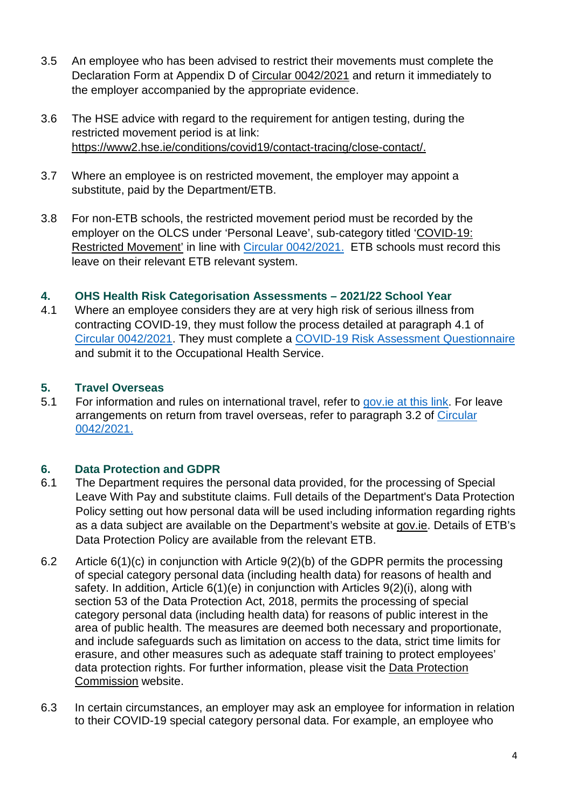- 3.5 An employee who has been advised to restrict their movements must complete the Declaration Form at Appendix D of [Circular 0042/2021](https://www.gov.ie/en/circular/b4832-coronavirus-covid-19-arrangements-for-teachers-and-special-needs-assistants-employed-in-recognised-primary-and-post-primary-schools/) and return it immediately to the employer accompanied by the appropriate evidence.
- 3.6 The HSE advice with regard to the requirement for antigen testing, during the restricted movement period is at link: [https://www2.hse.ie/conditions/covid19/contact-tracing/close-contact/.](https://www2.hse.ie/conditions/covid19/contact-tracing/close-contact/)
- 3.7 Where an employee is on restricted movement, the employer may appoint a substitute, paid by the Department/ETB.
- 3.8 For non-ETB schools, the restricted movement period must be recorded by the employer on the OLCS under 'Personal Leave', sub-category titled 'COVID-19: Restricted Movement' in line with [Circular 0042/2021.](https://www.gov.ie/en/circular/b4832-coronavirus-covid-19-arrangements-for-teachers-and-special-needs-assistants-employed-in-recognised-primary-and-post-primary-schools/) ETB schools must record this leave on their relevant ETB relevant system.

## **4. OHS Health Risk Categorisation Assessments – 2021/22 School Year**

4.1 Where an employee considers they are at very high risk of serious illness from contracting COVID-19, they must follow the process detailed at paragraph 4.1 of [Circular 0042/2021.](https://assets.gov.ie/181473/55f0edb4-367e-433b-be6f-3f700f7d416d.pdf) They must complete a [COVID-19 Risk Assessment Questionnaire](https://www.medmark.ie/teachersna/covid-risk-assessment/) and submit it to the Occupational Health Service.

## **5. Travel Overseas**

5.1 For information and rules on international travel, refer to gov. ie at this link. For leave arrangements on return from travel overseas, refer to paragraph 3.2 of [Circular](https://assets.gov.ie/181473/55f0edb4-367e-433b-be6f-3f700f7d416d.pdf)  [0042/2021.](https://assets.gov.ie/181473/55f0edb4-367e-433b-be6f-3f700f7d416d.pdf)

# **6. Data Protection and GDPR**

- 6.1 The Department requires the personal data provided, for the processing of Special Leave With Pay and substitute claims. Full details of the Department's Data Protection Policy setting out how personal data will be used including information regarding rights as a data subject are available on the Department's website at [gov.ie.](https://www.gov.ie/en/organisation-information/data-protection/#accountability-data-protection-policy) Details of ETB's Data Protection Policy are available from the relevant ETB.
- 6.2 Article 6(1)(c) in conjunction with Article 9(2)(b) of the GDPR permits the processing of special category personal data (including health data) for reasons of health and safety. In addition, Article 6(1)(e) in conjunction with Articles 9(2)(i), along with section 53 of the Data Protection Act, 2018, permits the processing of special category personal data (including health data) for reasons of public interest in the area of public health. The measures are deemed both necessary and proportionate, and include safeguards such as limitation on access to the data, strict time limits for erasure, and other measures such as adequate staff training to protect employees' data protection rights. For further information, please visit the [Data Protection](https://www.dataprotection.ie/)  [Commission website.](https://www.dataprotection.ie/)
- 6.3 In certain circumstances, an employer may ask an employee for information in relation to their COVID-19 special category personal data. For example, an employee who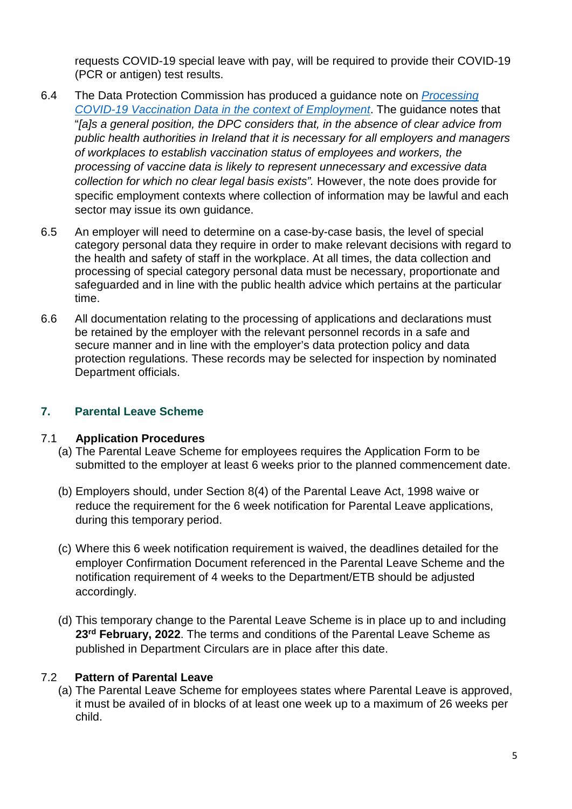requests COVID-19 special leave with pay, will be required to provide their COVID-19 (PCR or antigen) test results.

- 6.4 The Data Protection Commission has produced a guidance note on *[Processing](https://www.dataprotection.ie/en/dpc-guidance/processing-covid-19-vaccination-data-context-employment)  [COVID-19 Vaccination Data in the context of Employment](https://www.dataprotection.ie/en/dpc-guidance/processing-covid-19-vaccination-data-context-employment)*. The guidance notes that "*[a]s a general position, the DPC considers that, in the absence of clear advice from public health authorities in Ireland that it is necessary for all employers and managers of workplaces to establish vaccination status of employees and workers, the processing of vaccine data is likely to represent unnecessary and excessive data collection for which no clear legal basis exists".* However, the note does provide for specific employment contexts where collection of information may be lawful and each sector may issue its own guidance.
- 6.5 An employer will need to determine on a case-by-case basis, the level of special category personal data they require in order to make relevant decisions with regard to the health and safety of staff in the workplace. At all times, the data collection and processing of special category personal data must be necessary, proportionate and safeguarded and in line with the public health advice which pertains at the particular time.
- 6.6 All documentation relating to the processing of applications and declarations must be retained by the employer with the relevant personnel records in a safe and secure manner and in line with the employer's data protection policy and data protection regulations. These records may be selected for inspection by nominated Department officials.

## <span id="page-4-0"></span>**7. Parental Leave Scheme**

## 7.1 **Application Procedures**

- (a) The Parental Leave Scheme for employees requires the Application Form to be submitted to the employer at least 6 weeks prior to the planned commencement date.
- (b) Employers should, under Section 8(4) of the Parental Leave Act, 1998 waive or reduce the requirement for the 6 week notification for Parental Leave applications, during this temporary period.
- (c) Where this 6 week notification requirement is waived, the deadlines detailed for the employer Confirmation Document referenced in the Parental Leave Scheme and the notification requirement of 4 weeks to the Department/ETB should be adjusted accordingly.
- (d) This temporary change to the Parental Leave Scheme is in place up to and including **23rd February, 2022**. The terms and conditions of the Parental Leave Scheme as published in Department Circulars are in place after this date.

## 7.2 **Pattern of Parental Leave**

(a) The Parental Leave Scheme for employees states where Parental Leave is approved, it must be availed of in blocks of at least one week up to a maximum of 26 weeks per child.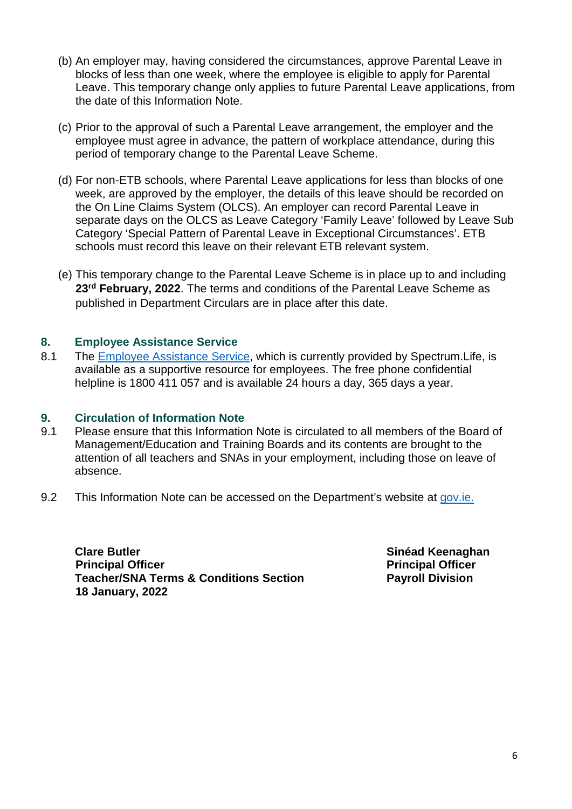- (b) An employer may, having considered the circumstances, approve Parental Leave in blocks of less than one week, where the employee is eligible to apply for Parental Leave. This temporary change only applies to future Parental Leave applications, from the date of this Information Note.
- (c) Prior to the approval of such a Parental Leave arrangement, the employer and the employee must agree in advance, the pattern of workplace attendance, during this period of temporary change to the Parental Leave Scheme.
- (d) For non-ETB schools, where Parental Leave applications for less than blocks of one week, are approved by the employer, the details of this leave should be recorded on the On Line Claims System (OLCS). An employer can record Parental Leave in separate days on the OLCS as Leave Category 'Family Leave' followed by Leave Sub Category 'Special Pattern of Parental Leave in Exceptional Circumstances'. ETB schools must record this leave on their relevant ETB relevant system.
- (e) This temporary change to the Parental Leave Scheme is in place up to and including **23rd February, 2022**. The terms and conditions of the Parental Leave Scheme as published in Department Circulars are in place after this date.

### **8. Employee Assistance Service**

8.1 The [Employee Assistance Service,](https://www.education.ie/en/Education-Staff/Services/Employee-Assistance-Service/employee-assistance-service.html) which is currently provided by Spectrum. Life, is available as a supportive resource for employees. The free phone confidential helpline is 1800 411 057 and is available 24 hours a day, 365 days a year.

#### **9. Circulation of Information Note**

- 9.1 Please ensure that this Information Note is circulated to all members of the Board of Management/Education and Training Boards and its contents are brought to the attention of all teachers and SNAs in your employment, including those on leave of absence.
- 9.2 This Information Note can be accessed on the Department's website at [gov.ie.](https://www.gov.ie/en/collection/c9681-covid-19-index-of-all-publications-issued-by-department-of-education/)

**Clare Butler Sinéad Keenaghan** *Sinéad* **Keenaghan Principal Officer**  Principal Officer **Principal Officer Teacher/SNA Terms & Conditions Section Fayroll Division 18 January, 2022**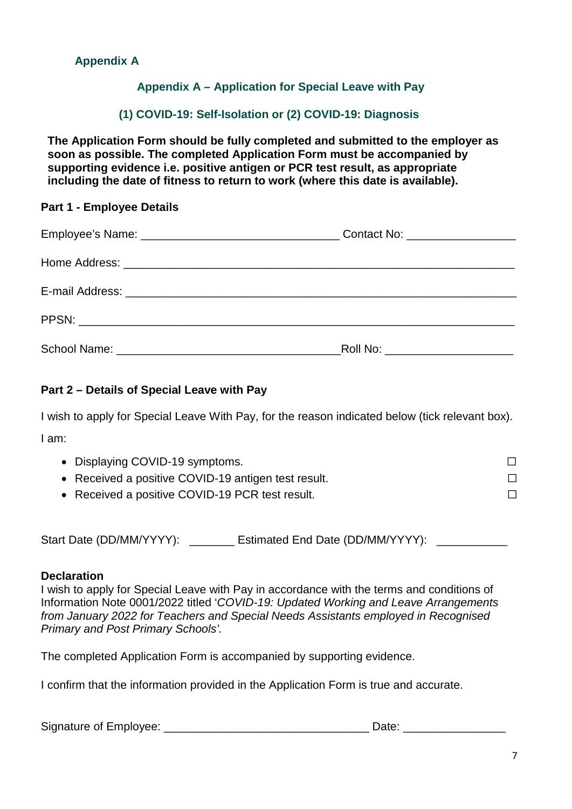## <span id="page-6-0"></span>**Appendix A**

## **Appendix A – Application for Special Leave with Pay**

### **(1) COVID-19: Self-Isolation or (2) COVID-19: Diagnosis**

**The Application Form should be fully completed and submitted to the employer as soon as possible. The completed Application Form must be accompanied by supporting evidence i.e. positive antigen or PCR test result, as appropriate including the date of fitness to return to work (where this date is available).** 

#### **Part 1 - Employee Details**

| Roll No: ______________________ |
|---------------------------------|

## **Part 2 – Details of Special Leave with Pay**

I wish to apply for Special Leave With Pay, for the reason indicated below (tick relevant box). I am:

| • Displaying COVID-19 symptoms.                     |  |
|-----------------------------------------------------|--|
| • Received a positive COVID-19 antigen test result. |  |
| • Received a positive COVID-19 PCR test result.     |  |

Start Date (DD/MM/YYYY): \_\_\_\_\_\_\_\_ Estimated End Date (DD/MM/YYYY):

#### **Declaration**

I wish to apply for Special Leave with Pay in accordance with the terms and conditions of Information Note 0001/2022 titled '*COVID-19: Updated Working and Leave Arrangements from January 2022 for Teachers and Special Needs Assistants employed in Recognised Primary and Post Primary Schools'.* 

The completed Application Form is accompanied by supporting evidence.

I confirm that the information provided in the Application Form is true and accurate.

Signature of Employee: \_\_\_\_\_\_\_\_\_\_\_\_\_\_\_\_\_\_\_\_\_\_\_\_\_\_\_\_\_\_\_\_ Date: \_\_\_\_\_\_\_\_\_\_\_\_\_\_\_\_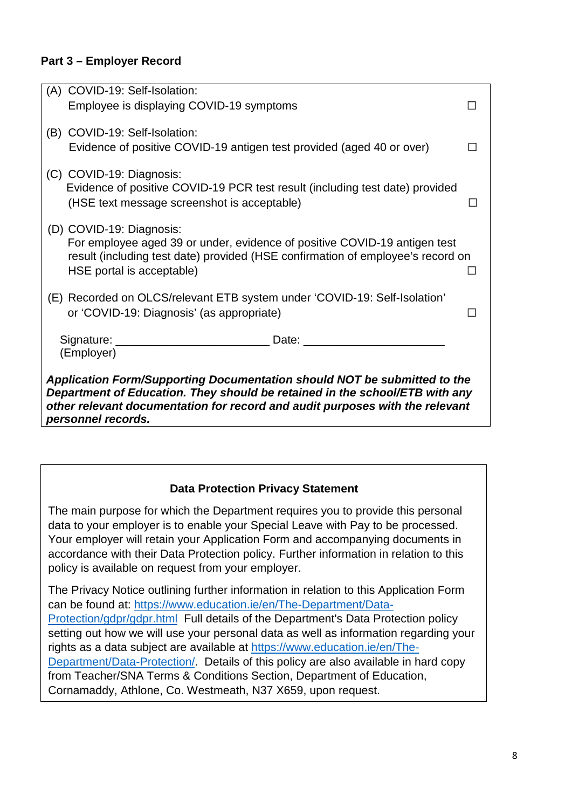## **Part 3 – Employer Record**

| (A) COVID-19: Self-Isolation: |                                                                                                                                                                                                                                |  |  |
|-------------------------------|--------------------------------------------------------------------------------------------------------------------------------------------------------------------------------------------------------------------------------|--|--|
|                               | Employee is displaying COVID-19 symptoms                                                                                                                                                                                       |  |  |
| (B) COVID-19: Self-Isolation: |                                                                                                                                                                                                                                |  |  |
|                               | Evidence of positive COVID-19 antigen test provided (aged 40 or over)                                                                                                                                                          |  |  |
| (C) COVID-19: Diagnosis:      |                                                                                                                                                                                                                                |  |  |
|                               | Evidence of positive COVID-19 PCR test result (including test date) provided                                                                                                                                                   |  |  |
|                               | (HSE text message screenshot is acceptable)                                                                                                                                                                                    |  |  |
| (D) COVID-19: Diagnosis:      |                                                                                                                                                                                                                                |  |  |
|                               | For employee aged 39 or under, evidence of positive COVID-19 antigen test                                                                                                                                                      |  |  |
|                               | result (including test date) provided (HSE confirmation of employee's record on                                                                                                                                                |  |  |
| HSE portal is acceptable)     |                                                                                                                                                                                                                                |  |  |
|                               | (E) Recorded on OLCS/relevant ETB system under 'COVID-19: Self-Isolation'                                                                                                                                                      |  |  |
|                               | or 'COVID-19: Diagnosis' (as appropriate)                                                                                                                                                                                      |  |  |
|                               |                                                                                                                                                                                                                                |  |  |
| (Employer)                    | Date: the contract of the contract of the contract of the contract of the contract of the contract of the contract of the contract of the contract of the contract of the contract of the contract of the contract of the cont |  |  |
|                               |                                                                                                                                                                                                                                |  |  |
|                               | Application Form/Supporting Documentation should NOT be submitted to the                                                                                                                                                       |  |  |
|                               | Department of Education. They should be retained in the school/ETB with any<br>other relevant documentation for record and audit purposes with the relevant                                                                    |  |  |
| personnel records.            |                                                                                                                                                                                                                                |  |  |

## **Data Protection Privacy Statement**

The main purpose for which the Department requires you to provide this personal data to your employer is to enable your Special Leave with Pay to be processed. Your employer will retain your Application Form and accompanying documents in accordance with their Data Protection policy. Further information in relation to this policy is available on request from your employer.

The Privacy Notice outlining further information in relation to this Application Form can be found at: [https://www.education.ie/en/The-Department/Data-](https://www.education.ie/en/The-Department/Data-Protection/gdpr/gdpr.html)[Protection/gdpr/gdpr.html](https://www.education.ie/en/The-Department/Data-Protection/gdpr/gdpr.html) Full details of the Department's Data Protection policy setting out how we will use your personal data as well as information regarding your rights as a data subject are available at [https://www.education.ie/en/The-](https://www.education.ie/en/The-Department/Data-Protection/)[Department/Data-Protection/.](https://www.education.ie/en/The-Department/Data-Protection/) Details of this policy are also available in hard copy from Teacher/SNA Terms & Conditions Section, Department of Education, Cornamaddy, Athlone, Co. Westmeath, N37 X659, upon request.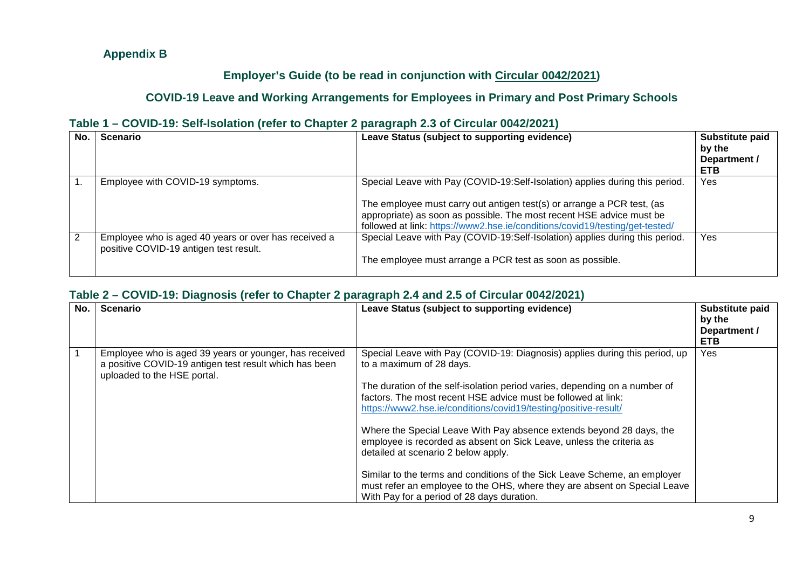## **Appendix B**

## **Employer's Guide (to be read in conjunction with [Circular 0042/2021\)](https://www.gov.ie/en/circular/b4832-coronavirus-covid-19-arrangements-for-teachers-and-special-needs-assistants-employed-in-recognised-primary-and-post-primary-schools/)**

## **COVID-19 Leave and Working Arrangements for Employees in Primary and Post Primary Schools**

## **Table 1 – COVID-19: Self-Isolation (refer to Chapter 2 paragraph 2.3 of Circular 0042/2021)**

| No. | <b>Scenario</b>                                                                                | Leave Status (subject to supporting evidence)                                                                                                                                                                                                                                                                  | Substitute paid<br>by the<br>Department /<br><b>ETB</b> |
|-----|------------------------------------------------------------------------------------------------|----------------------------------------------------------------------------------------------------------------------------------------------------------------------------------------------------------------------------------------------------------------------------------------------------------------|---------------------------------------------------------|
|     | Employee with COVID-19 symptoms.                                                               | Special Leave with Pay (COVID-19:Self-Isolation) applies during this period.<br>The employee must carry out antigen test(s) or arrange a PCR test, (as<br>appropriate) as soon as possible. The most recent HSE advice must be<br>followed at link: https://www2.hse.ie/conditions/covid19/testing/get-tested/ | Yes                                                     |
| 2   | Employee who is aged 40 years or over has received a<br>positive COVID-19 antigen test result. | Special Leave with Pay (COVID-19:Self-Isolation) applies during this period.<br>The employee must arrange a PCR test as soon as possible.                                                                                                                                                                      | Yes                                                     |

### <span id="page-8-0"></span>**Table 2 – COVID-19: Diagnosis (refer to Chapter 2 paragraph 2.4 and 2.5 of Circular 0042/2021)**

| No. | <b>Scenario</b>                                                                                                                                 | Leave Status (subject to supporting evidence)                                                                                                                                                                                                                                                                                                                                                                                                                                                                                                                                                                                                                                                                            | Substitute paid<br>by the<br>Department /<br><b>ETB</b> |
|-----|-------------------------------------------------------------------------------------------------------------------------------------------------|--------------------------------------------------------------------------------------------------------------------------------------------------------------------------------------------------------------------------------------------------------------------------------------------------------------------------------------------------------------------------------------------------------------------------------------------------------------------------------------------------------------------------------------------------------------------------------------------------------------------------------------------------------------------------------------------------------------------------|---------------------------------------------------------|
|     | Employee who is aged 39 years or younger, has received<br>a positive COVID-19 antigen test result which has been<br>uploaded to the HSE portal. | Special Leave with Pay (COVID-19: Diagnosis) applies during this period, up<br>to a maximum of 28 days.<br>The duration of the self-isolation period varies, depending on a number of<br>factors. The most recent HSE advice must be followed at link:<br>https://www2.hse.ie/conditions/covid19/testing/positive-result/<br>Where the Special Leave With Pay absence extends beyond 28 days, the<br>employee is recorded as absent on Sick Leave, unless the criteria as<br>detailed at scenario 2 below apply.<br>Similar to the terms and conditions of the Sick Leave Scheme, an employer<br>must refer an employee to the OHS, where they are absent on Special Leave<br>With Pay for a period of 28 days duration. | <b>Yes</b>                                              |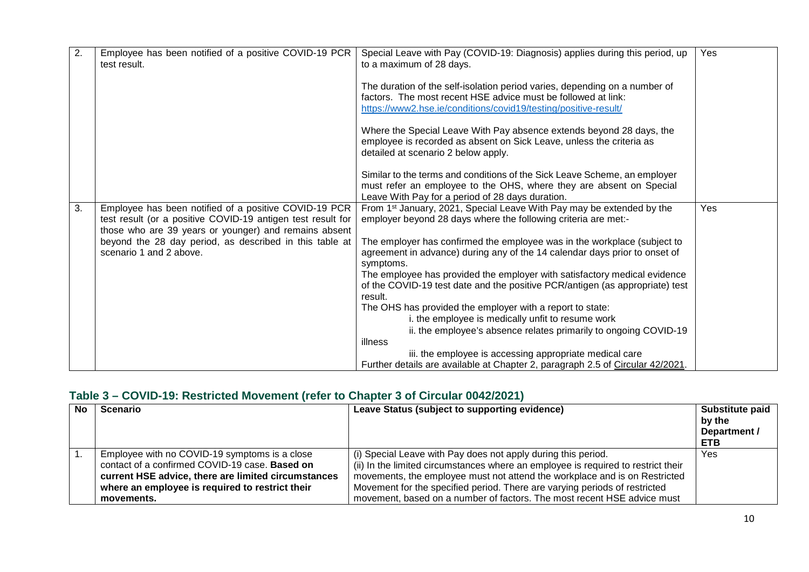| 2. | Employee has been notified of a positive COVID-19 PCR<br>test result.                                                                                                         | Special Leave with Pay (COVID-19: Diagnosis) applies during this period, up<br>to a maximum of 28 days.                                                                                                        | Yes |
|----|-------------------------------------------------------------------------------------------------------------------------------------------------------------------------------|----------------------------------------------------------------------------------------------------------------------------------------------------------------------------------------------------------------|-----|
|    |                                                                                                                                                                               | The duration of the self-isolation period varies, depending on a number of<br>factors. The most recent HSE advice must be followed at link:<br>https://www2.hse.ie/conditions/covid19/testing/positive-result/ |     |
|    |                                                                                                                                                                               | Where the Special Leave With Pay absence extends beyond 28 days, the<br>employee is recorded as absent on Sick Leave, unless the criteria as<br>detailed at scenario 2 below apply.                            |     |
|    |                                                                                                                                                                               | Similar to the terms and conditions of the Sick Leave Scheme, an employer<br>must refer an employee to the OHS, where they are absent on Special<br>Leave With Pay for a period of 28 days duration.           |     |
| 3. | Employee has been notified of a positive COVID-19 PCR<br>test result (or a positive COVID-19 antigen test result for<br>those who are 39 years or younger) and remains absent | From 1 <sup>st</sup> January, 2021, Special Leave With Pay may be extended by the<br>employer beyond 28 days where the following criteria are met:-                                                            | Yes |
|    | beyond the 28 day period, as described in this table at<br>scenario 1 and 2 above.                                                                                            | The employer has confirmed the employee was in the workplace (subject to<br>agreement in advance) during any of the 14 calendar days prior to onset of<br>symptoms.                                            |     |
|    |                                                                                                                                                                               | The employee has provided the employer with satisfactory medical evidence<br>of the COVID-19 test date and the positive PCR/antigen (as appropriate) test<br>result.                                           |     |
|    |                                                                                                                                                                               | The OHS has provided the employer with a report to state:<br>i. the employee is medically unfit to resume work                                                                                                 |     |
|    |                                                                                                                                                                               | ii. the employee's absence relates primarily to ongoing COVID-19                                                                                                                                               |     |
|    |                                                                                                                                                                               | illness                                                                                                                                                                                                        |     |
|    |                                                                                                                                                                               | iii. the employee is accessing appropriate medical care<br>Further details are available at Chapter 2, paragraph 2.5 of Circular 42/2021.                                                                      |     |

## **Table 3 – COVID-19: Restricted Movement (refer to Chapter 3 of Circular 0042/2021)**

| No | <b>Scenario</b>                                                                                                                                                                                                         | Leave Status (subject to supporting evidence)                                                                                                                                                                                                                                                                                                                                             | Substitute paid<br>by the<br>Department /<br><b>ETB</b> |
|----|-------------------------------------------------------------------------------------------------------------------------------------------------------------------------------------------------------------------------|-------------------------------------------------------------------------------------------------------------------------------------------------------------------------------------------------------------------------------------------------------------------------------------------------------------------------------------------------------------------------------------------|---------------------------------------------------------|
|    | Employee with no COVID-19 symptoms is a close<br>contact of a confirmed COVID-19 case. Based on<br>current HSE advice, there are limited circumstances<br>where an employee is required to restrict their<br>movements. | (i) Special Leave with Pay does not apply during this period.<br>(ii) In the limited circumstances where an employee is required to restrict their<br>movements, the employee must not attend the workplace and is on Restricted<br>Movement for the specified period. There are varying periods of restricted<br>movement, based on a number of factors. The most recent HSE advice must | Yes                                                     |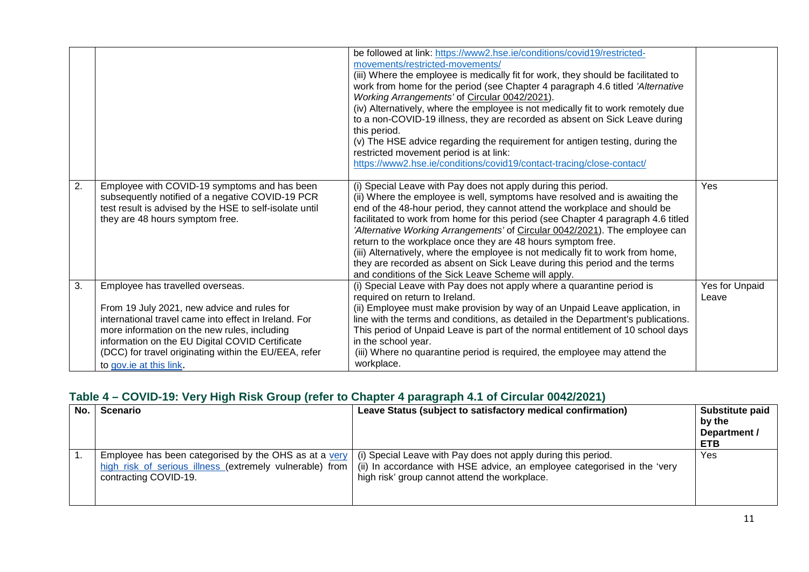|    |                                                                                                                                                                                                                                                                                                                                 | be followed at link: https://www2.hse.ie/conditions/covid19/restricted-<br>movements/restricted-movements/<br>(iii) Where the employee is medically fit for work, they should be facilitated to<br>work from home for the period (see Chapter 4 paragraph 4.6 titled 'Alternative<br>Working Arrangements' of Circular 0042/2021).<br>(iv) Alternatively, where the employee is not medically fit to work remotely due<br>to a non-COVID-19 illness, they are recorded as absent on Sick Leave during<br>this period.<br>(v) The HSE advice regarding the requirement for antigen testing, during the<br>restricted movement period is at link:<br>https://www2.hse.ie/conditions/covid19/contact-tracing/close-contact/ |                         |
|----|---------------------------------------------------------------------------------------------------------------------------------------------------------------------------------------------------------------------------------------------------------------------------------------------------------------------------------|--------------------------------------------------------------------------------------------------------------------------------------------------------------------------------------------------------------------------------------------------------------------------------------------------------------------------------------------------------------------------------------------------------------------------------------------------------------------------------------------------------------------------------------------------------------------------------------------------------------------------------------------------------------------------------------------------------------------------|-------------------------|
| 2. | Employee with COVID-19 symptoms and has been<br>subsequently notified of a negative COVID-19 PCR<br>test result is advised by the HSE to self-isolate until<br>they are 48 hours symptom free.                                                                                                                                  | (i) Special Leave with Pay does not apply during this period.<br>(ii) Where the employee is well, symptoms have resolved and is awaiting the<br>end of the 48-hour period, they cannot attend the workplace and should be<br>facilitated to work from home for this period (see Chapter 4 paragraph 4.6 titled<br>'Alternative Working Arrangements' of Circular 0042/2021). The employee can<br>return to the workplace once they are 48 hours symptom free.<br>(iii) Alternatively, where the employee is not medically fit to work from home,<br>they are recorded as absent on Sick Leave during this period and the terms<br>and conditions of the Sick Leave Scheme will apply.                                    | Yes                     |
| 3. | Employee has travelled overseas.<br>From 19 July 2021, new advice and rules for<br>international travel came into effect in Ireland. For<br>more information on the new rules, including<br>information on the EU Digital COVID Certificate<br>(DCC) for travel originating within the EU/EEA, refer<br>to gov.ie at this link. | (i) Special Leave with Pay does not apply where a quarantine period is<br>required on return to Ireland.<br>(ii) Employee must make provision by way of an Unpaid Leave application, in<br>line with the terms and conditions, as detailed in the Department's publications.<br>This period of Unpaid Leave is part of the normal entitlement of 10 school days<br>in the school year.<br>(iii) Where no quarantine period is required, the employee may attend the<br>workplace.                                                                                                                                                                                                                                        | Yes for Unpaid<br>Leave |

# **Table 4 – COVID-19: Very High Risk Group (refer to Chapter 4 paragraph 4.1 of Circular 0042/2021)**

| No. | Scenario                                                                          | Leave Status (subject to satisfactory medical confirmation)                                                                                                                                                                                              | Substitute paid<br>by the<br>Department /<br><b>ETB</b> |
|-----|-----------------------------------------------------------------------------------|----------------------------------------------------------------------------------------------------------------------------------------------------------------------------------------------------------------------------------------------------------|---------------------------------------------------------|
|     | high risk of serious illness (extremely vulnerable) from<br>contracting COVID-19. | Employee has been categorised by the OHS as at a very $\vert$ (i) Special Leave with Pay does not apply during this period.<br>(ii) In accordance with HSE advice, an employee categorised in the 'very<br>high risk' group cannot attend the workplace. | Yes                                                     |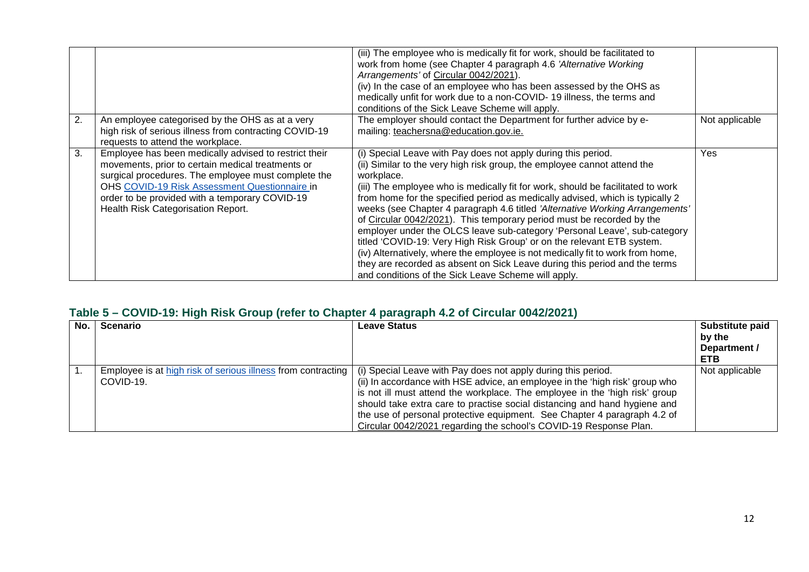|    |                                                                                                                                                                                                                                                                                                            | (iii) The employee who is medically fit for work, should be facilitated to<br>work from home (see Chapter 4 paragraph 4.6 'Alternative Working<br>Arrangements' of Circular 0042/2021).<br>(iv) In the case of an employee who has been assessed by the OHS as<br>medically unfit for work due to a non-COVID-19 illness, the terms and<br>conditions of the Sick Leave Scheme will apply.                                                                                                                                                                                                                                                                                                                                                                                                                                                                         |                |
|----|------------------------------------------------------------------------------------------------------------------------------------------------------------------------------------------------------------------------------------------------------------------------------------------------------------|--------------------------------------------------------------------------------------------------------------------------------------------------------------------------------------------------------------------------------------------------------------------------------------------------------------------------------------------------------------------------------------------------------------------------------------------------------------------------------------------------------------------------------------------------------------------------------------------------------------------------------------------------------------------------------------------------------------------------------------------------------------------------------------------------------------------------------------------------------------------|----------------|
| 2. | An employee categorised by the OHS as at a very<br>high risk of serious illness from contracting COVID-19<br>requests to attend the workplace.                                                                                                                                                             | The employer should contact the Department for further advice by e-<br>mailing: teachersna@education.gov.ie.                                                                                                                                                                                                                                                                                                                                                                                                                                                                                                                                                                                                                                                                                                                                                       | Not applicable |
| 3. | Employee has been medically advised to restrict their<br>movements, prior to certain medical treatments or<br>surgical procedures. The employee must complete the<br>OHS COVID-19 Risk Assessment Questionnaire in<br>order to be provided with a temporary COVID-19<br>Health Risk Categorisation Report. | (i) Special Leave with Pay does not apply during this period.<br>(ii) Similar to the very high risk group, the employee cannot attend the<br>workplace.<br>(iii) The employee who is medically fit for work, should be facilitated to work<br>from home for the specified period as medically advised, which is typically 2<br>weeks (see Chapter 4 paragraph 4.6 titled 'Alternative Working Arrangements'<br>of Circular 0042/2021). This temporary period must be recorded by the<br>employer under the OLCS leave sub-category 'Personal Leave', sub-category<br>titled 'COVID-19: Very High Risk Group' or on the relevant ETB system.<br>(iv) Alternatively, where the employee is not medically fit to work from home,<br>they are recorded as absent on Sick Leave during this period and the terms<br>and conditions of the Sick Leave Scheme will apply. | Yes            |

## **Table 5 – COVID-19: High Risk Group (refer to Chapter 4 paragraph 4.2 of Circular 0042/2021)**

| No. | Scenario  | Leave Status                                                                                                                       | Substitute paid<br>by the |
|-----|-----------|------------------------------------------------------------------------------------------------------------------------------------|---------------------------|
|     |           |                                                                                                                                    | Department /              |
|     |           |                                                                                                                                    | <b>ETB</b>                |
|     |           | Employee is at high risk of serious illness from contracting $\vert$ (i) Special Leave with Pay does not apply during this period. | Not applicable            |
|     | COVID-19. | (ii) In accordance with HSE advice, an employee in the 'high risk' group who                                                       |                           |
|     |           | is not ill must attend the workplace. The employee in the 'high risk' group                                                        |                           |
|     |           | should take extra care to practise social distancing and hand hygiene and                                                          |                           |
|     |           | the use of personal protective equipment. See Chapter 4 paragraph 4.2 of                                                           |                           |
|     |           | Circular 0042/2021 regarding the school's COVID-19 Response Plan.                                                                  |                           |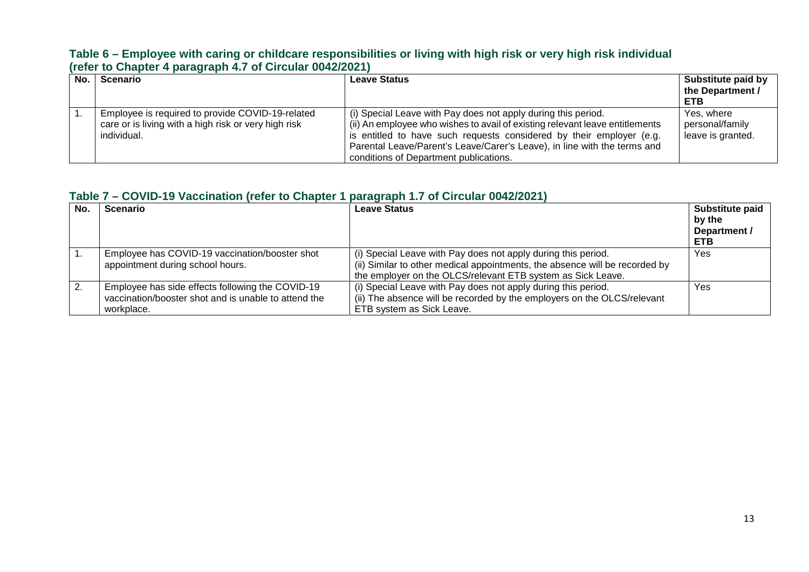#### **Table 6 – Employee with caring or childcare responsibilities or living with high risk or very high risk individual (refer to Chapter 4 paragraph 4.7 of Circular 0042/2021)**

| No. I | <b>Scenario</b>                                                                                                         | <b>Leave Status</b>                                                                                                                                                                                                                                                                                                                         | Substitute paid by<br>the Department /<br><b>ETB</b> |
|-------|-------------------------------------------------------------------------------------------------------------------------|---------------------------------------------------------------------------------------------------------------------------------------------------------------------------------------------------------------------------------------------------------------------------------------------------------------------------------------------|------------------------------------------------------|
|       | Employee is required to provide COVID-19-related<br>care or is living with a high risk or very high risk<br>individual. | (i) Special Leave with Pay does not apply during this period.<br>(ii) An employee who wishes to avail of existing relevant leave entitlements<br>is entitled to have such requests considered by their employer (e.g.<br>Parental Leave/Parent's Leave/Carer's Leave), in line with the terms and<br>conditions of Department publications. | Yes, where<br>personal/family<br>leave is granted.   |

#### **Table 7 – COVID-19 Vaccination (refer to Chapter 1 paragraph 1.7 of Circular 0042/2021)**

| No. | <b>Scenario</b>                                                                                                        | <b>Leave Status</b>                                                                                                                                                                                         | Substitute paid<br>by the<br>Department /<br><b>ETB</b> |
|-----|------------------------------------------------------------------------------------------------------------------------|-------------------------------------------------------------------------------------------------------------------------------------------------------------------------------------------------------------|---------------------------------------------------------|
|     | Employee has COVID-19 vaccination/booster shot<br>appointment during school hours.                                     | (i) Special Leave with Pay does not apply during this period.<br>(ii) Similar to other medical appointments, the absence will be recorded by<br>the employer on the OLCS/relevant ETB system as Sick Leave. | Yes                                                     |
| 2.  | Employee has side effects following the COVID-19<br>vaccination/booster shot and is unable to attend the<br>workplace. | (i) Special Leave with Pay does not apply during this period.<br>(ii) The absence will be recorded by the employers on the OLCS/relevant<br>ETB system as Sick Leave.                                       | Yes                                                     |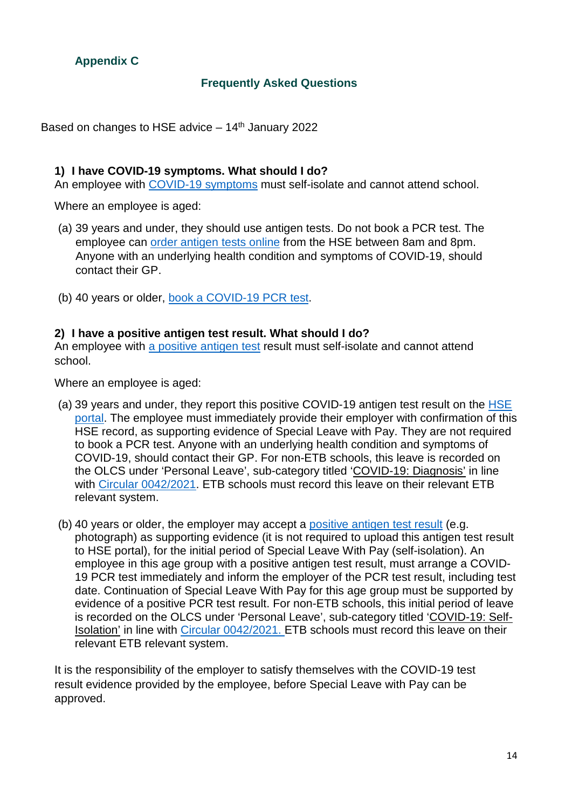# <span id="page-13-0"></span>**Appendix C**

## **Frequently Asked Questions**

Based on changes to HSE advice  $-14<sup>th</sup>$  January 2022

#### **1) I have COVID-19 symptoms. What should I do?**

An employee with [COVID-19 symptoms](https://www2.hse.ie/conditions/covid19/symptoms/overview/) must self-isolate and cannot attend school.

Where an employee is aged:

- (a) 39 years and under, they should use antigen tests. Do not book a PCR test. The employee can [order antigen tests online](https://www.hse.ie/antigentesting/) from the HSE between 8am and 8pm. Anyone with an underlying health condition and symptoms of COVID-19, should contact their GP.
- (b) 40 years or older, [book a COVID-19 PCR test.](https://covid19test.healthservice.ie/hse-self-referral/)

#### **2) I have a positive antigen test result. What should I do?**

An employee with [a positive antigen test](https://www2.hse.ie/conditions/covid19/testing/antigen-testing/) result must self-isolate and cannot attend school.

Where an employee is aged:

- (a) 39 years and under, they report this positive COVID-19 antigen test result on the [HSE](https://antigentesting.hse.ie/)  [portal.](https://antigentesting.hse.ie/) The employee must immediately provide their employer with confirmation of this HSE record, as supporting evidence of Special Leave with Pay. They are not required to book a PCR test. Anyone with an underlying health condition and symptoms of COVID-19, should contact their GP. For non-ETB schools, this leave is recorded on the OLCS under 'Personal Leave', sub-category titled 'COVID-19: Diagnosis' in line with [Circular 0042/2021.](https://www.gov.ie/en/circular/b4832-coronavirus-covid-19-arrangements-for-teachers-and-special-needs-assistants-employed-in-recognised-primary-and-post-primary-schools/) ETB schools must record this leave on their relevant ETB relevant system.
- (b) 40 years or older, the employer may accept a [positive antigen test result](https://www2.hse.ie/conditions/covid19/testing/using-antigen-tests/) (e.g. photograph) as supporting evidence (it is not required to upload this antigen test result to HSE portal), for the initial period of Special Leave With Pay (self-isolation). An employee in this age group with a positive antigen test result, must arrange a COVID-19 PCR test immediately and inform the employer of the PCR test result, including test date. Continuation of Special Leave With Pay for this age group must be supported by evidence of a positive PCR test result. For non-ETB schools, this initial period of leave is recorded on the OLCS under 'Personal Leave', sub-category titled 'COVID-19: Self-Isolation' in line with [Circular 0042/2021.](https://www.gov.ie/en/circular/b4832-coronavirus-covid-19-arrangements-for-teachers-and-special-needs-assistants-employed-in-recognised-primary-and-post-primary-schools/) ETB schools must record this leave on their relevant ETB relevant system.

It is the responsibility of the employer to satisfy themselves with the COVID-19 test result evidence provided by the employee, before Special Leave with Pay can be approved.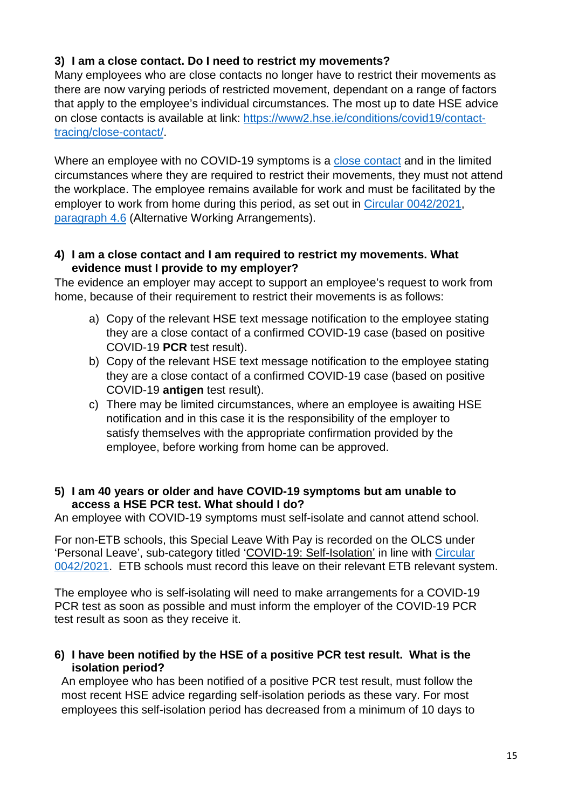## **3) I am a close contact. Do I need to restrict my movements?**

Many employees who are close contacts no longer have to restrict their movements as there are now varying periods of restricted movement, dependant on a range of factors that apply to the employee's individual circumstances. The most up to date HSE advice on close contacts is available at link: [https://www2.hse.ie/conditions/covid19/contact](https://www2.hse.ie/conditions/covid19/contact-tracing/close-contact/)[tracing/close-contact/.](https://www2.hse.ie/conditions/covid19/contact-tracing/close-contact/)

Where an employee with no COVID-19 symptoms is a [close contact](https://www2.hse.ie/conditions/covid19/contact-tracing/close-contact/) and in the limited circumstances where they are required to restrict their movements, they must not attend the workplace. The employee remains available for work and must be facilitated by the employer to work from home during this period, as set out in [Circular 0042/2021,](https://www.gov.ie/en/circular/b4832-coronavirus-covid-19-arrangements-for-teachers-and-special-needs-assistants-employed-in-recognised-primary-and-post-primary-schools/) paragraph 4.6 (Alternative Working Arrangements).

#### **4) I am a close contact and I am required to restrict my movements. What evidence must I provide to my employer?**

The evidence an employer may accept to support an employee's request to work from home, because of their requirement to restrict their movements is as follows:

- a) Copy of the relevant HSE text message notification to the employee stating they are a close contact of a confirmed COVID-19 case (based on positive COVID-19 **PCR** test result).
- b) Copy of the relevant HSE text message notification to the employee stating they are a close contact of a confirmed COVID-19 case (based on positive COVID-19 **antigen** test result).
- c) There may be limited circumstances, where an employee is awaiting HSE notification and in this case it is the responsibility of the employer to satisfy themselves with the appropriate confirmation provided by the employee, before working from home can be approved.

#### **5) I am 40 years or older and have COVID-19 symptoms but am unable to access a HSE PCR test. What should I do?**

An employee with COVID-19 symptoms must self-isolate and cannot attend school.

For non-ETB schools, this Special Leave With Pay is recorded on the OLCS under 'Personal Leave', sub-category titled 'COVID-19: Self-Isolation' in line with [Circular](https://www.gov.ie/en/circular/b4832-coronavirus-covid-19-arrangements-for-teachers-and-special-needs-assistants-employed-in-recognised-primary-and-post-primary-schools/)  [0042/2021.](https://www.gov.ie/en/circular/b4832-coronavirus-covid-19-arrangements-for-teachers-and-special-needs-assistants-employed-in-recognised-primary-and-post-primary-schools/) ETB schools must record this leave on their relevant ETB relevant system.

The employee who is self-isolating will need to make arrangements for a COVID-19 PCR test as soon as possible and must inform the employer of the COVID-19 PCR test result as soon as they receive it.

### **6) I have been notified by the HSE of a positive PCR test result. What is the isolation period?**

An employee who has been notified of a positive PCR test result, must follow the most recent HSE advice regarding self-isolation periods as these vary. For most employees this self-isolation period has decreased from a minimum of 10 days to